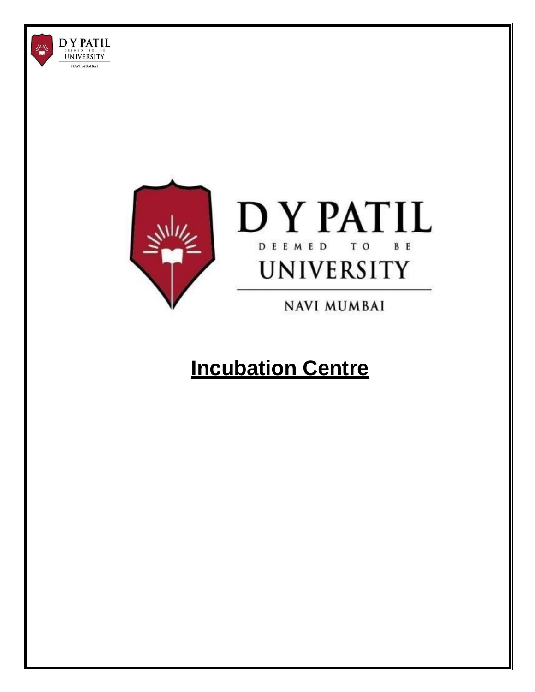



**NAVI MUMBAI** 

# **Incubation Centre**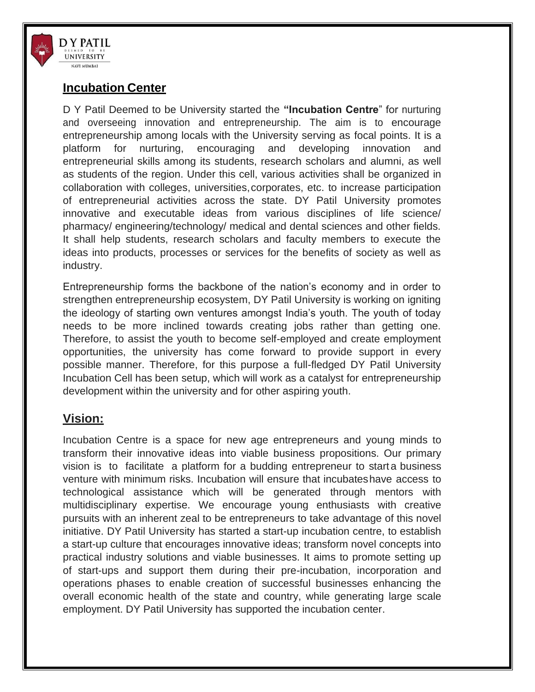

## **Incubation Center**

D Y Patil Deemed to be University started the **"Incubation Centre**" for nurturing and overseeing innovation and entrepreneurship. The aim is to encourage entrepreneurship among locals with the University serving as focal points. It is a platform for nurturing, encouraging and developing innovation and entrepreneurial skills among its students, research scholars and alumni, as well as students of the region. Under this cell, various activities shall be organized in collaboration with colleges, universities,corporates, etc. to increase participation of entrepreneurial activities across the state. DY Patil University promotes innovative and executable ideas from various disciplines of life science/ pharmacy/ engineering/technology/ medical and dental sciences and other fields. It shall help students, research scholars and faculty members to execute the ideas into products, processes or services for the benefits of society as well as industry.

Entrepreneurship forms the backbone of the nation's economy and in order to strengthen entrepreneurship ecosystem, DY Patil University is working on igniting the ideology of starting own ventures amongst India's youth. The youth of today needs to be more inclined towards creating jobs rather than getting one. Therefore, to assist the youth to become self-employed and create employment opportunities, the university has come forward to provide support in every possible manner. Therefore, for this purpose a full-fledged DY Patil University Incubation Cell has been setup, which will work as a catalyst for entrepreneurship development within the university and for other aspiring youth.

# **Vision:**

Incubation Centre is a space for new age entrepreneurs and young minds to transform their innovative ideas into viable business propositions. Our primary vision is to facilitate a platform for a budding entrepreneur to start a business venture with minimum risks. Incubation will ensure that incubateshave access to technological assistance which will be generated through mentors with multidisciplinary expertise. We encourage young enthusiasts with creative pursuits with an inherent zeal to be entrepreneurs to take advantage of this novel initiative. DY Patil University has started a start-up incubation centre, to establish a start-up culture that encourages innovative ideas; transform novel concepts into practical industry solutions and viable businesses. It aims to promote setting up of start-ups and support them during their pre-incubation, incorporation and operations phases to enable creation of successful businesses enhancing the overall economic health of the state and country, while generating large scale employment. DY Patil University has supported the incubation center.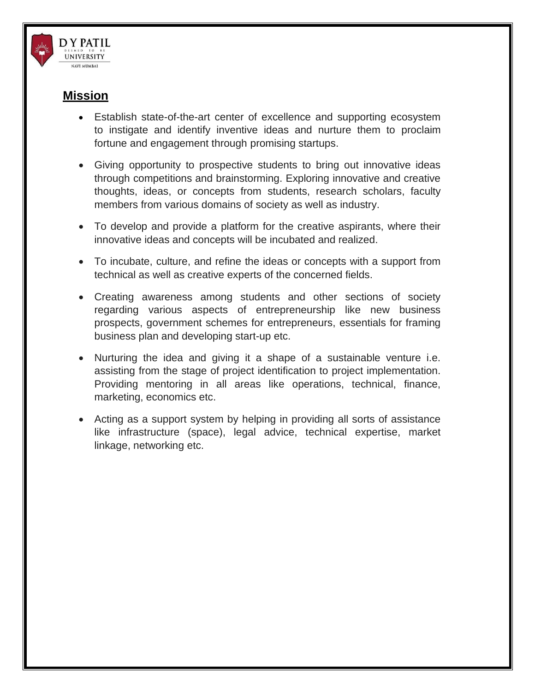

## **Mission**

- Establish state-of-the-art center of excellence and supporting ecosystem to instigate and identify inventive ideas and nurture them to proclaim fortune and engagement through promising startups.
- Giving opportunity to prospective students to bring out innovative ideas through competitions and brainstorming. Exploring innovative and creative thoughts, ideas, or concepts from students, research scholars, faculty members from various domains of society as well as industry.
- To develop and provide a platform for the creative aspirants, where their innovative ideas and concepts will be incubated and realized.
- To incubate, culture, and refine the ideas or concepts with a support from technical as well as creative experts of the concerned fields.
- Creating awareness among students and other sections of society regarding various aspects of entrepreneurship like new business prospects, government schemes for entrepreneurs, essentials for framing business plan and developing start-up etc.
- Nurturing the idea and giving it a shape of a sustainable venture i.e. assisting from the stage of project identification to project implementation. Providing mentoring in all areas like operations, technical, finance, marketing, economics etc.
- Acting as a support system by helping in providing all sorts of assistance like infrastructure (space), legal advice, technical expertise, market linkage, networking etc.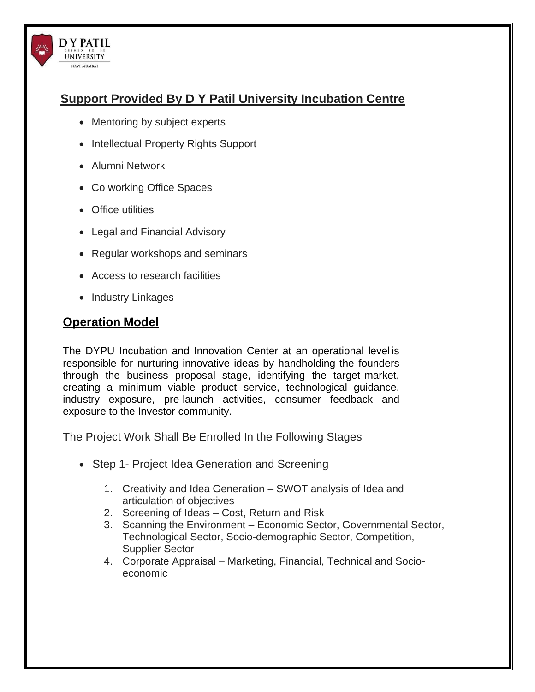# **Support Provided By D Y Patil University Incubation Centre**

- Mentoring by subject experts
- Intellectual Property Rights Support
- Alumni Network

**DY PATIL UNIVERSITY** NAVI MUMBAI

- Co working Office Spaces
- Office utilities
- Legal and Financial Advisory
- Regular workshops and seminars
- Access to research facilities
- Industry Linkages

# **Operation Model**

The DYPU Incubation and Innovation Center at an operational level is responsible for nurturing innovative ideas by handholding the founders through the business proposal stage, identifying the target market, creating a minimum viable product service, technological guidance, industry exposure, pre-launch activities, consumer feedback and exposure to the Investor community.

The Project Work Shall Be Enrolled In the Following Stages

- Step 1- Project Idea Generation and Screening
	- 1. Creativity and Idea Generation SWOT analysis of Idea and articulation of objectives
	- 2. Screening of Ideas Cost, Return and Risk
	- 3. Scanning the Environment Economic Sector, Governmental Sector, Technological Sector, Socio-demographic Sector, Competition, Supplier Sector
	- 4. Corporate Appraisal Marketing, Financial, Technical and Socioeconomic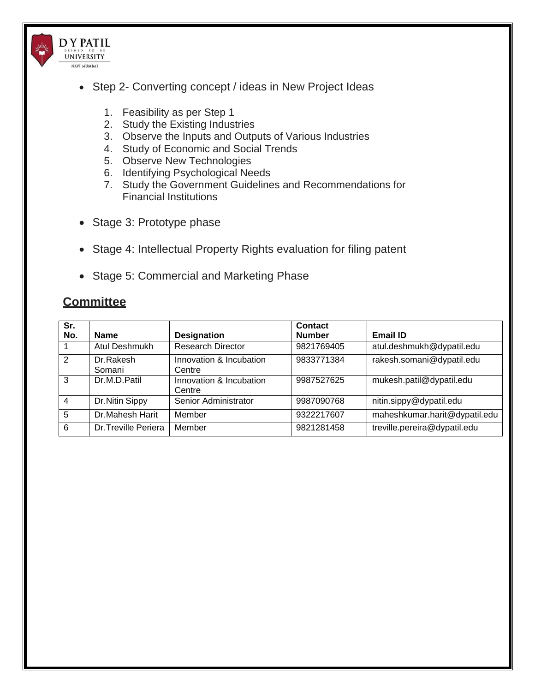

- Step 2- Converting concept / ideas in New Project Ideas
	- 1. Feasibility as per Step 1
	- 2. Study the Existing Industries
	- 3. Observe the Inputs and Outputs of Various Industries
	- 4. Study of Economic and Social Trends
	- 5. Observe New Technologies
	- 6. Identifying Psychological Needs
	- 7. Study the Government Guidelines and Recommendations for Financial Institutions
- Stage 3: Prototype phase
- Stage 4: Intellectual Property Rights evaluation for filing patent
- Stage 5: Commercial and Marketing Phase

# **Committee**

| Sr.            |                     |                          | Contact       |                               |
|----------------|---------------------|--------------------------|---------------|-------------------------------|
| No.            | <b>Name</b>         | <b>Designation</b>       | <b>Number</b> | <b>Email ID</b>               |
|                | Atul Deshmukh       | <b>Research Director</b> | 9821769405    | atul.deshmukh@dypatil.edu     |
| $\overline{2}$ | Dr.Rakesh           | Innovation & Incubation  | 9833771384    | rakesh.somani@dypatil.edu     |
|                | Somani              | Centre                   |               |                               |
| 3              | Dr.M.D.Patil        | Innovation & Incubation  | 9987527625    | mukesh.patil@dypatil.edu      |
|                |                     | Centre                   |               |                               |
| $\overline{4}$ | Dr.Nitin Sippy      | Senior Administrator     | 9987090768    | nitin.sippy@dypatil.edu       |
| 5              | Dr.Mahesh Harit     | Member                   | 9322217607    | maheshkumar.harit@dypatil.edu |
| 6              | Dr.Treville Periera | Member                   | 9821281458    | treville.pereira@dypatil.edu  |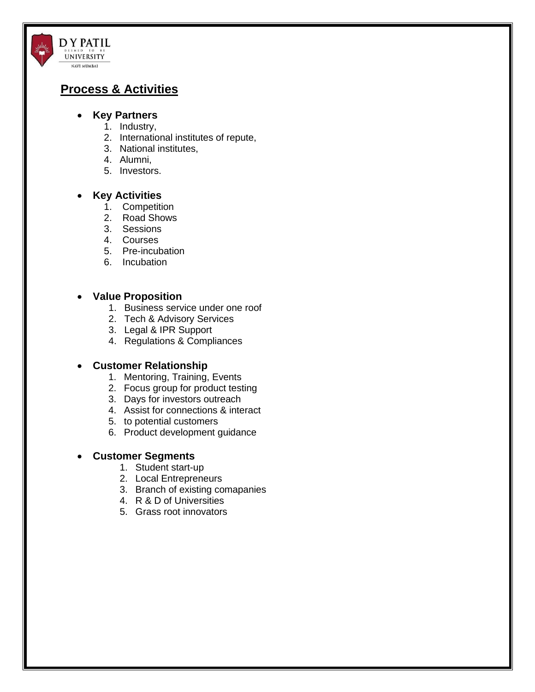# **Process & Activities**

D Y PATIL UNIVERSITY NAVI MUMBAI

### • **Key Partners**

- 1. Industry,
- 2. International institutes of repute,
- 3. National institutes,
- 4. Alumni,
- 5. Investors.

#### • **Key Activities**

- 1. Competition
- 2. Road Shows
- 3. Sessions
- 4. Courses
- 5. Pre-incubation
- 6. Incubation

#### • **Value Proposition**

- 1. Business service under one roof
- 2. Tech & Advisory Services
- 3. Legal & IPR Support
- 4. Regulations & Compliances

#### • **Customer Relationship**

- 1. Mentoring, Training, Events
- 2. Focus group for product testing
- 3. Days for investors outreach
- 4. Assist for connections & interact
- 5. to potential customers
- 6. Product development guidance

#### • **Customer Segments**

- 1. Student start-up
- 2. Local Entrepreneurs
- 3. Branch of existing comapanies
- 4. R & D of Universities
- 5. Grass root innovators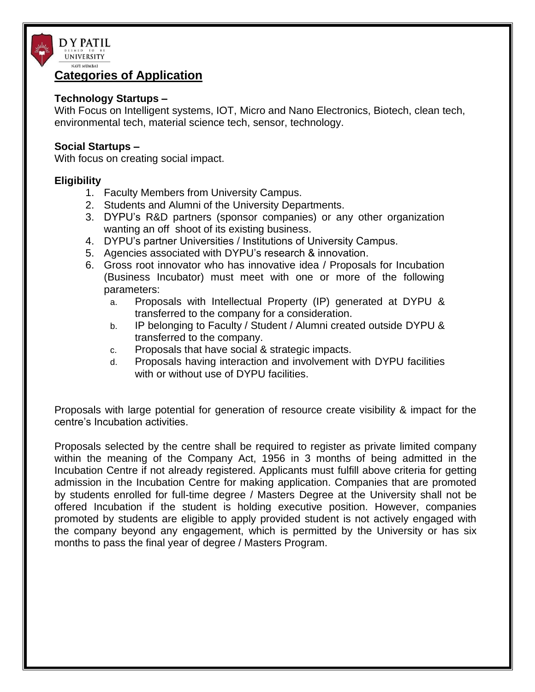

### **Categories of Application**

### **Technology Startups –**

With Focus on Intelligent systems, IOT, Micro and Nano Electronics, Biotech, clean tech, environmental tech, material science tech, sensor, technology.

### **Social Startups –**

With focus on creating social impact.

### **Eligibility**

- 1. Faculty Members from University Campus.
- 2. Students and Alumni of the University Departments.
- 3. DYPU's R&D partners (sponsor companies) or any other organization wanting an off shoot of its existing business.
- 4. DYPU's partner Universities / Institutions of University Campus.
- 5. Agencies associated with DYPU's research & innovation.
- 6. Gross root innovator who has innovative idea / Proposals for Incubation (Business Incubator) must meet with one or more of the following parameters:
	- a. Proposals with Intellectual Property (IP) generated at DYPU & transferred to the company for a consideration.
	- b. IP belonging to Faculty / Student / Alumni created outside DYPU & transferred to the company.
	- c. Proposals that have social & strategic impacts.
	- d. Proposals having interaction and involvement with DYPU facilities with or without use of DYPU facilities.

Proposals with large potential for generation of resource create visibility & impact for the centre's Incubation activities.

Proposals selected by the centre shall be required to register as private limited company within the meaning of the Company Act, 1956 in 3 months of being admitted in the Incubation Centre if not already registered. Applicants must fulfill above criteria for getting admission in the Incubation Centre for making application. Companies that are promoted by students enrolled for full-time degree / Masters Degree at the University shall not be offered Incubation if the student is holding executive position. However, companies promoted by students are eligible to apply provided student is not actively engaged with the company beyond any engagement, which is permitted by the University or has six months to pass the final year of degree / Masters Program.